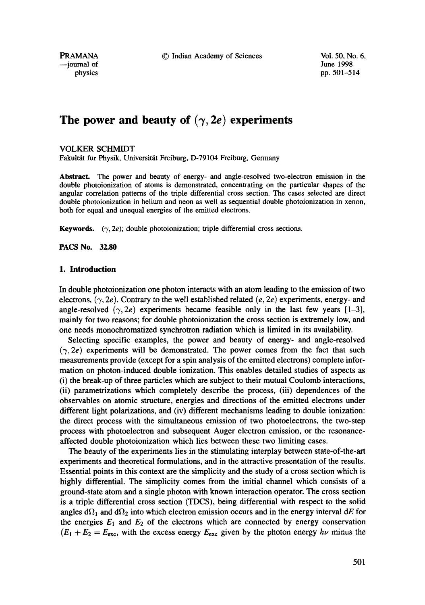PRAMANA © Indian Academy of Sciences Vol. 50, No. 6,

--journal of June 1998

physics pp. 501-514

# The power and beauty of  $(\gamma, 2e)$  experiments

VOLKER SCHMIDT

Fakultät für Physik, Universität Freiburg, D-79104 Freiburg, Germany

**Abstract.** The power and beauty of energy- and angle-resolved two-electron emission in the double photoionization of atoms is demonstrated, concentrating on the particular shapes of the angular correlation patterns of the triple differential cross section. The cases selected are direct double photoionization in helium and neon as well as sequential double photoionization in xenon, both for equal and unequal energies of the emitted electrons.

**Keywords.**  $(\gamma, 2e)$ ; double photoionization; triple differential cross sections.

**PACS No. 32.80** 

# **1. Introduction**

In double photoionization one photon interacts with an atom leading to the emission of two electrons,  $(\gamma, 2e)$ . Contrary to the well established related  $(e, 2e)$  experiments, energy- and angle-resolved  $(\gamma, 2e)$  experiments became feasible only in the last few years [1-3], mainly for two reasons; for double photoionization the cross section is extremely low, and one needs monochromatized synchrotron radiation which is limited in its availability.

Selecting specific examples, the power and beauty of energy- and angle-resolved  $(\gamma, 2e)$  experiments will be demonstrated. The power comes from the fact that such measurements provide (except for a spin analysis of the emitted electrons) complete information on photon-induced double ionization. This enables detailed studies of aspects as (i) the break-up of three particles which are subject to their mutual Coulomb interactions, (ii) parametrizations which completely describe the process, (iii) dependences of the observables on atomic structure, energies and directions of the emitted electrons under different light polarizations, and (iv) different mechanisms leading to double ionization: the direct process with the simultaneous emission of two photoelectrons, the two-step process with photoelectron and subsequent Auger electron emission, or the resonanceaffected double photoionization which lies between these two limiting cases.

The beauty of the experiments lies in the stimulating interplay between state-of-the-art experiments and theoretical formulations, and in the attractive presentation of the results. Essential points in this context are the simplicity and the study of a cross section which is highly differential. The simplicity comes from the initial channel which consists of a ground-state atom and a single photon with known interaction operator. The cross section is a triple differential cross section (TDCS), being differential with respect to the solid angles  $d\Omega_1$  and  $d\Omega_2$  into which electron emission occurs and in the energy interval dE for the energies  $E_1$  and  $E_2$  of the electrons which are connected by energy conservation  $(E_1 + E_2 = E_{\text{exc}}$ , with the excess energy  $E_{\text{exc}}$  given by the photon energy  $h\nu$  minus the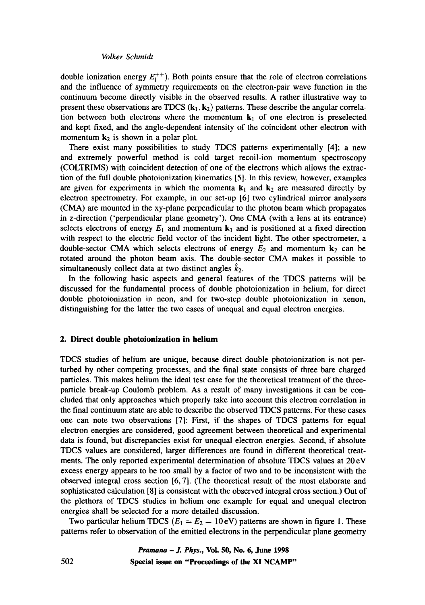double ionization energy  $E_1^{++}$ ). Both points ensure that the role of electron correlations and the influence of symmetry requirements on the electron-pair wave function in the continuum become directly visible in the observed results. A rather illustrative way to present these observations are TDCS  $(k_1, k_2)$  patterns. These describe the angular correlation between both electrons where the momentum  $k_1$  of one electron is preselected and kept fixed, and the angle-dependent intensity of the coincident other electron with momentum  $k_2$  is shown in a polar plot.

There exist many possibilities to study TDCS patterns experimentally [4]; a new and extremely powerful method is cold target recoil-ion momentum spectroscopy (COLTRIMS) with coincident detection of one of the electrons which allows the extraction of the full double photoionization kinematics [5]. In this review, however, examples are given for experiments in which the momenta  $k_1$  and  $k_2$  are measured directly by electron spectrometry. For example, in our set-up [6] two cylindrical mirror analysers (CMA) are mounted in the xy-plane perpendicular to the photon beam which propagates in z-direction ('perpendicular plane geometry'). One CMA (with a lens at its entrance) selects electrons of energy  $E_1$  and momentum  $\mathbf{k}_1$  and is positioned at a fixed direction with respect to the electric field vector of the incident light. The other spectrometer, a double-sector CMA which selects electrons of energy  $E_2$  and momentum  $k_2$  can be rotated around the photon beam axis. The double-sector CMA makes it possible to simultaneously collect data at two distinct angles  $k_2$ .

In the following basic aspects and general features of the TDCS patterns will be discussed for the fundamental process of double photoionization in helium, for direct double photoionization in neon, and for two-step double photoionization in xenon, distinguishing for the latter the two cases of unequal and equal electron energies.

# **2. Direct double photoionization in helium**

TDCS studies of helium are unique, because direct double photoionization is not perturbed by other competing processes, and the final state consists of three bare charged particles. This makes helium the ideal test case for the theoretical treatment of the threeparticle break-up Coulomb problem. As a result of many investigations it can be concluded that only approaches which properly take into account this electron correlation in the final continuum state are able to describe the observed TDCS patterns. For these cases one can note two observations [7]: First, if the shapes of TDCS patterns for equal electron energies are considered, good agreement between theoretical and experimental data is found, but discrepancies exist for unequal electron energies. Second, if absolute TDCS values are considered, larger differences are found in different theoretical treatments. The only reported experimental determination of absolute TDCS values at 20 eV excess energy appears to be too small by a factor of two and to be inconsistent with the observed integral cross section [6, 7]. (The theoretical result of the most elaborate and sophisticated calculation [8] is consistent with the observed integral cross section.) Out of the plethora of TDCS studies in helium one example for equal and unequal electron energies shall be selected for a more detailed discussion.

Two particular helium TDCS ( $E_1 = E_2 = 10$  eV) patterns are shown in figure 1. These patterns refer to observation of the emitted electrons in the perpendicular plane geometry

> *Pramana - J. Phys.,* **Vol. 50, No. 6, June 1998 Special issue on "Proceedings of the XI NCAMP"**

502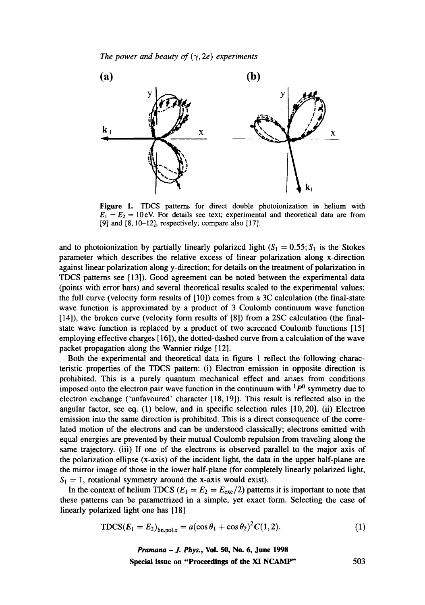

Figure 1. TDCS patterns for direct double photoionization in helium with  $E_1 = E_2 = 10$  eV. For details see text; experimental and theoretical data are from [9] and [8, 10-12], respectively; compare also [17].

and to photoionization by partially linearly polarized light ( $S_1 = 0.55$ ;  $S_1$  is the Stokes parameter which describes the relative excess of linear polarization along x-direction against linear polarization along y-direction; for details on the treatment of polarization in TDCS patterns see [13]). Good agreement can be noted between the experimental data (points with error bars) and several theoretical results scaled to the experimental values: the full curve (velocity form results of [10]) comes from a 3C calculation (the final-state wave function is approximated by a product of 3 Coulomb continuum wave function [14]), the broken curve (velocity form results of [8]) from a 2SC calculation (the finalstate wave function is replaced by a product of two screened Coulomb functions [15] employing effective charges [ 16]), the dotted-dashed curve from a calculation of the wave packet propagation along the Wannier ridge [12].

Both the experimental and theoretical data in figure 1 reflect the following characteristic properties of the TDCS pattern: (i) Electron emission in opposite direction is prohibited. This is a purely quantum mechanical effect and arises from conditions imposed onto the electron pair wave function in the continuum with  $1\overline{P}^0$  symmetry due to electron exchange ('unfavoured' character [18, 19]). This result is reflected also in the angular factor, see eq. (1) below, and in specific selection rules [10,20]. (ii) Electron emission into the same direction is prohibited. This is a direct consequence of the correlated motion of the electrons and can be understood classically; electrons emitted with equal energies are prevented by their mutual Coulomb repulsion from traveling along the same trajectory. (iii) If one of the electrons is observed parallel to the major axis of the polarization ellipse (x-axis) of the incident light, the data in the upper half-plane are the mirror image of those in the lower half-plane (for completely linearly polarized light,  $S_1 = 1$ , rotational symmetry around the x-axis would exist).

In the context of helium TDCS ( $E_1 = E_2 = E_{\text{exc}}/2$ ) patterns it is important to note that these patterns can be parametrized in a simple, yet exact form. Selecting the case of linearly polarized light one has [18]

$$
TDCS(E_1 = E_2)_{\text{lin.} \text{pol.}x} = a(\cos \theta_1 + \cos \theta_2)^2 C(1, 2). \tag{1}
$$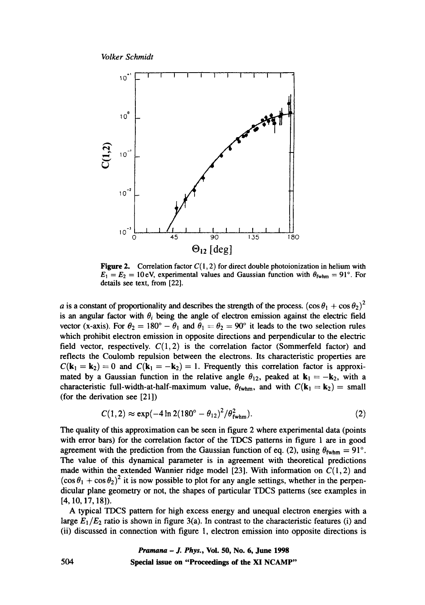



**Figure 2.** Correlation factor  $C(1,2)$  for direct double photoionization in helium with  $E_1 = E_2 = 10$  eV, experimental values and Gaussian function with  $\theta_{\text{fwhm}} = 91^\circ$ . For details see text, from [22].

a is a constant of proportionality and describes the strength of the process.  $(\cos \theta_1 + \cos \theta_2)^2$ is an angular factor with  $\theta_i$  being the angle of electron emission against the electric field vector (x-axis). For  $\theta_2 = 180^\circ - \theta_1$  and  $\theta_1 = \theta_2 = 90^\circ$  it leads to the two selection rules which prohibit electron emission in opposite directions and perpendicular to the electric field vector, respectively.  $C(1,2)$  is the correlation factor (Sommerfeld factor) and reflects the Coulomb repulsion between the electrons. Its characteristic properties are  $C(k_1 = k_2) = 0$  and  $C(k_1 = -k_2) = 1$ . Frequently this correlation factor is approximated by a Gaussian function in the relative angle  $\theta_{12}$ , peaked at  $\mathbf{k}_1 = -\mathbf{k}_2$ , with a characteristic full-width-at-half-maximum value,  $\theta_{fwhm}$ , and with  $C(\mathbf{k}_1 = \mathbf{k}_2) = \text{small}$ (for the derivation see [21])

$$
C(1,2) \approx \exp(-4\ln 2(180^\circ - \theta_{12})^2/\theta_{\rm fwhm}^2). \tag{2}
$$

The quality of this approximation can be seen in figure 2 where experimental data (points with error bars) for the correlation factor of the TDCS patterns in figure 1 are in good agreement with the prediction from the Gaussian function of eq. (2), using  $\theta_{\text{fwhm}} = 91^{\circ}$ . The value of this dynamical parameter is in agreement with theoretical predictions made within the extended Wannier ridge model [23]. With information on  $C(1, 2)$  and  $(\cos \theta_1 + \cos \theta_2)^2$  it is now possible to plot for any angle settings, whether in the perpendicular plane geometry or not, the shapes of particular TDCS patterns (see examples in [4, 10, 17, 18]).

A typical TDCS pattern for high excess energy and unequal electron energies with a large  $E_1/E_2$  ratio is shown in figure 3(a). In contrast to the characteristic features (i) and (ii) discussed in connection with figure 1, electron emission into opposite directions is

# *Pramana - J. Phys.,* **Vol. 50, No. 6, June 1998 Special issue on "Proceedings of the XI NCAMP"**

504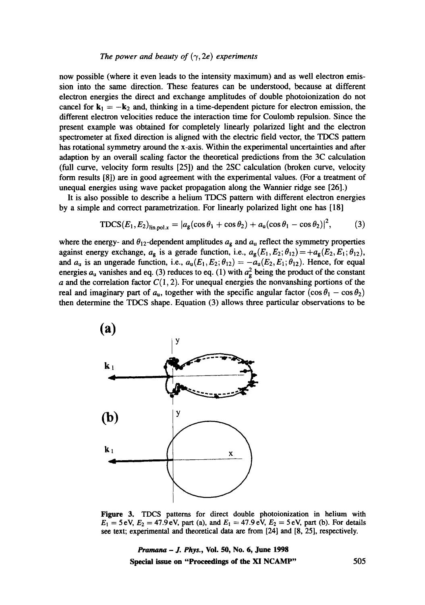now possible (where it even leads to the intensity maximum) and as well electron emission into the same direction. These features can be understood, because at different electron energies the direct and exchange amplitudes of double photoionization do not cancel for  $k_1 = -k_2$  and, thinking in a time-dependent picture for electron emission, the different electron velocities reduce the interaction time for Coulomb repulsion. Since the present example was obtained for completely linearly polarized light and the electron spectrometer at fixed direction is aligned with the electric field vector, the TDCS pattern has rotational symmetry around the x-axis. Within the experimental uncertainties and after adaption by an overall scaling factor the theoretical predictions from the 3C calculation (full curve, velocity form results [25]) and the 2SC calculation (broken curve, velocity form results [8]) are in good agreement with the experimental values. (For a treatment of unequal energies using wave packet propagation along the Wannier ridge see [26].)

It is also possible to describe a helium TDCS pattern with different electron energies by a simple and correct parametrization. For linearly polarized light one has [18]

$$
\text{TDCS}(E_1, E_2)_{\text{lin.ool.}x} = |a_g(\cos\theta_1 + \cos\theta_2) + a_u(\cos\theta_1 - \cos\theta_2)|^2, \tag{3}
$$

where the energy- and  $\theta_{12}$ -dependent amplitudes  $a_g$  and  $a_u$  reflect the symmetry properties against energy exchange,  $a_g$  is a gerade function, i.e.,  $a_g(E_1, E_2; \theta_{12}) = +a_g(E_2, E_1; \theta_{12}),$ and  $a_u$  is an ungerade function, i.e.,  $a_u(E_1, E_2; \theta_{12}) = -a_u(E_2, E_1; \theta_{12})$ . Hence, for equal energies  $a_u$  vanishes and eq. (3) reduces to eq. (1) with  $a_g^2$  being the product of the constant  $a$  and the correlation factor  $C(1,2)$ . For unequal energies the nonvanshing portions of the real and imaginary part of  $a_{\rm u}$ , together with the specific angular factor  $(\cos \theta_1 - \cos \theta_2)$ then determine the TDCS shape. Equation (3) allows three particular observations to be



Figure 3. TDCS patterns for direct double photoionization in helium with  $E_1 = 5$  eV,  $E_2 = 47.9$  eV, part (a), and  $E_1 = 47.9$  eV,  $E_2 = 5$  eV, part (b). For details see text; experimental and theoretical data are from [24] and [8, 25], respectively.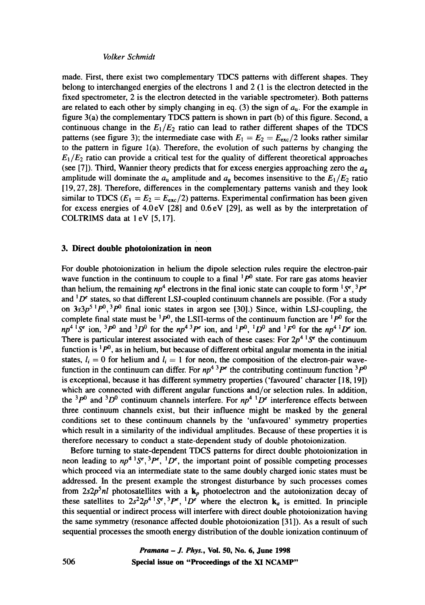made. First, there exist two complementary TDCS patterns with different shapes. They belong to interchanged energies of the electrons 1 and 2 (1 is the electron detected in the fixed spectrometer, 2 is the electron detected in the variable spectrometer). Both patterns are related to each other by simply changing in eq. (3) the sign of  $a<sub>u</sub>$ . For the example in figure 3(a) the complementary TDCS pattern is shown in part (b) of this figure. Second, a continuous change in the  $E_1/E_2$  ratio can lead to rather different shapes of the TDCS patterns (see figure 3); the intermediate case with  $E_1 = E_2 = E_{\text{exc}}/2$  looks rather similar to the pattern in figure l(a). Therefore, the evolution of such patterns by changing the  $E_1/E_2$  ratio can provide a critical test for the quality of different theoretical approaches (see [7]). Third, Wannier theory predicts that for excess energies approaching zero the  $a_{\mathfrak{g}}$ amplitude will dominate the  $a_{\rm u}$  amplitude and  $a_{\rm g}$  becomes insensitive to the  $E_1/E_2$  ratio [19, 27, 28]. Therefore, differences in the complementary patterns vanish and they look similar to TDCS ( $E_1 = E_2 = E_{\text{exc}}/2$ ) patterns. Experimental confirmation has been given for excess energies of  $4.0 \text{ eV}$  [28] and  $0.6 \text{ eV}$  [29], as well as by the interpretation of COLTRIMS data at 1 eV [5, 17].

# **3. Direct double photoionization in neon**

For double photoionization in helium the dipole selection rules require the electron-pair wave function in the continuum to couple to a final  $1P^0$  state. For rare gas atoms heavier than helium, the remaining  $np^4$  electrons in the final ionic state can couple to form  ${}^{1}S^{\epsilon}$ ,  ${}^{3}P^{\epsilon}$ and  ${}^{1}D^{e}$  states, so that different LSJ-coupled continuum channels are possible. (For a study on  $3s3p^{5}p^{0}$ ,  $3p^{0}$  final ionic states in argon see [30].) Since, within LSJ-coupling, the complete final state must be <sup>1</sup> $P^0$ , the LSII-terms of the continuum function are <sup>1</sup> $P^0$  for the  $np<sup>4</sup>$  is ion,  $3p<sup>0</sup>$  and  $3D<sup>0</sup>$  for the  $np<sup>4</sup>$  is  $p<sup>6</sup>$  ion, and  $1p<sup>0</sup>$ ,  $1D<sup>0</sup>$  and  $1F<sup>0</sup>$  for the  $np<sup>4</sup>$  is  $p<sup>6</sup>$  ion. There is particular interest associated with each of these cases: For  $2p^{4}$  S<sup> $\epsilon$ </sup> the continuum function is  ${}^{1}P^{0}$ , as in helium, but because of different orbital angular momenta in the initial states,  $l_i = 0$  for helium and  $l_i = 1$  for neon, the composition of the electron-pair wavefunction in the continuum can differ. For  $np^4$ <sup>3</sup> $p^e$  the contributing continuum function <sup>3</sup> $p^0$ is exceptional, because it has different symmetry properties ('favoured' character [18, 19]) which are connected with different angular functions and/or selection rules. In addition, the <sup>3</sup> $P^0$  and <sup>3</sup>D<sup>0</sup> continuum channels interfere. For  $np^4$  <sup>1</sup>D<sup>e</sup> interference effects between three continuum channels exist, but their influence might be masked by the general conditions set to these continuum channels by the 'unfavoured' symmetry properties which result in a similarity of the individual amplitudes. Because of these properties it is therefore necessary to conduct a state-dependent study of double photoionization.

Before turning to state-dependent TDCS patterns for direct double photoionization in neon leading to  $np^4 \, 15^\circ$ ,  $3pe$ ,  $1D^\circ$ , the important point of possible competing processes which proceed via an intermediate state to the same doubly charged ionic states must be addressed. In the present example the strongest disturbance by such processes comes from  $2s2p<sup>5</sup>nl$  photosatellites with a  $k<sub>p</sub>$  photoelectron and the autoionization decay of these satellites to  $2s^22p^4 \,^1\mathcal{S}^e$ ,  $^3P^e$ ,  $^1D^e$  where the electron  $\mathbf{k}_a$  is emitted. In principle this sequential or indirect process will interfere with direct double photoionization having the same symmetry (resonance affected double photoionization [31]). As a result of such sequential processes the smooth energy distribution of the double ionization continuum of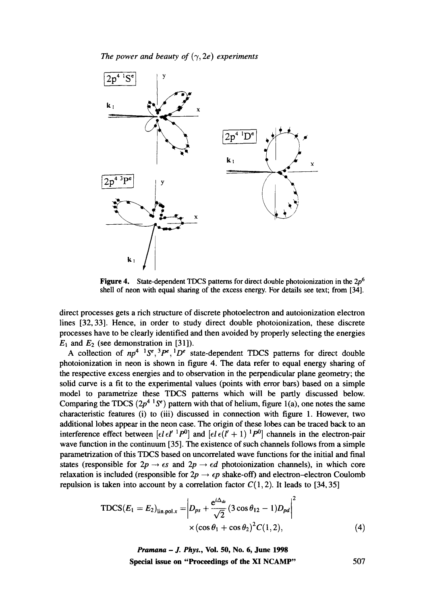*The power and beauty of*  $(\gamma, 2e)$  *experiments* 



**Figure 4.** State-dependent TDCS patterns for direct double photoionization in the  $2p^6$ shell of neon with equal sharing of the excess energy. For details see text; from [34].

direct processes gets a rich structure of discrete photoelectron and autoionization electron lines [32, 33]. Hence, in order to study direct double photoionization, these discrete processes have to be clearly identified and then avoided by properly selecting the energies  $E_1$  and  $E_2$  (see demonstration in [31]).

A collection of  $np^4$  <sup>1</sup>S<sup>e</sup>, <sup>3</sup>P<sup>e</sup>, <sup>1</sup>D<sup>e</sup> state-dependent TDCS patterns for direct double photoionization in neon is shown in figure 4. The data refer to equal energy sharing of the respective excess energies and to observation in the perpendicular plane geometry; the solid curve is a fit to the experimental values (points with error bars) based on a simple model to parametrize these TDCS patterns which will be partly discussed below. Comparing the TDCS  $(2p^{4} {}^{1}S^{e})$  pattern with that of helium, figure 1(a), one notes the same characteristic features (i) to (iii) discussed in connection with figure 1. However, two additional lobes appear in the neon case. The origin of these lobes can be traced back to an interference effect between  $\left[\epsilon l \epsilon l'^{-1}P^{0}\right]$  and  $\left[\epsilon l \epsilon (l'+1)^{-1}P^{0}\right]$  channels in the electron-pair wave function in the continuum [35]. The existence of such channels follows from a simple parametrization of this TDCS based on uncorrelated wave functions for the initial and final states (responsible for  $2p \rightarrow \epsilon s$  and  $2p \rightarrow \epsilon d$  photoionization channels), in which core relaxation is included (responsible for  $2p \rightarrow \epsilon p$  shake-off) and electron-electron Coulomb repulsion is taken into account by a correlation factor  $C(1,2)$ . It leads to [34, 35]

$$
\text{TDCS}(E_1 = E_2)_{\text{lin},\text{pol.}x} = \left| D_{ps} + \frac{e^{i\Delta_{ds}}}{\sqrt{2}} (3 \cos \theta_{12} - 1) D_{pd} \right|^2
$$
  
×  $(\cos \theta_1 + \cos \theta_2)^2 C(1,2),$  (4)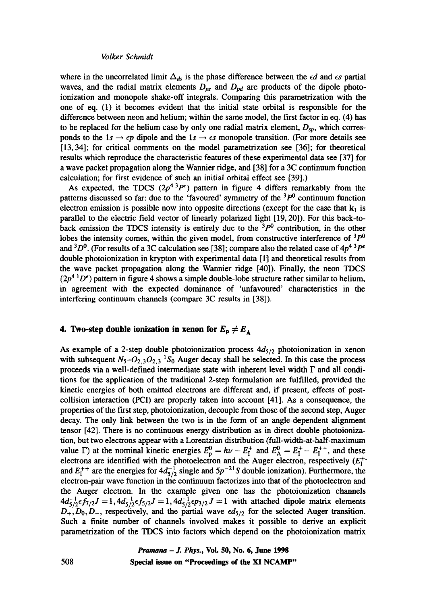where in the uncorrelated limit  $\Delta_{ds}$  is the phase difference between the  $\epsilon d$  and  $\epsilon s$  partial waves, and the radial matrix elements  $D_{ps}$  and  $D_{pd}$  are products of the dipole photoionization and monopole shake-off integrals. Comparing this parametrization with the one of eq. (1) it becomes evident that the initial state orbital is responsible for the difference between neon and helium; within the same model, the first factor in eq. (4) has to be replaced for the helium case by only one radial matrix element,  $D_{\rm SD}$ , which corresponds to the 1s  $\rightarrow$   $\epsilon p$  dipole and the 1s  $\rightarrow \epsilon s$  monopole transition. (For more details see [13, 34]; for critical comments on the model parametrization see [36]; for theoretical results which reproduce the characteristic features of these experimental data see [37] for a wave packet propagation along the Wannier ridge, and [38] for a 3C continuum function calculation; for first evidence of such an initial orbital effect see [39].)

As expected, the TDCS  $(2p^{4}$ <sup>3</sup> $P^e$ ) pattern in figure 4 differs remarkably from the patterns discussed so far: due to the 'favoured' symmetry of the  $3P<sup>0</sup>$  continuum function electron emission is possible now into opposite directions (except for the case that  $k_1$  is parallel to the electric field vector of linearly polarized light [19, 20]). For this back-toback emission the TDCS intensity is entirely due to the  $3P^0$  contribution, in the other lobes the intensity comes, within the given model, from constructive interference of  $3p^0$ and  ${}^{3}D^{0}$ . (For results of a 3C calculation see [38]; compare also the related case of  $4p^{4}$   ${}^{3}P^{e}$ double photoionization in krypton with experimental data [11 and theoretical results from the wave packet propagation along the Wannier ridge [40]). Finally, the neon TDCS  $(2p<sup>4</sup> <sup>1</sup>D<sup>e</sup>)$  pattern in figure 4 shows a simple double-lobe structure rather similar to helium, in agreement with the expected dominance of 'unfavoured' characteristics in the interfering continuum channels (compare 3C results in [38]).

# **4. Two-step double ionization in xenon for**  $E_p \neq E_A$

As example of a 2-step double photoionization process  $4d_{5/2}$  photoionization in xenon with subsequent  $N_5 - O_{2,3}O_{2,3}$  <sup>1</sup>S<sub>0</sub> Auger decay shall be selected. In this case the process proceeds via a well-defined intermediate state with inherent level width  $\Gamma$  and all conditions for the application of the traditional 2-step formulation are fulfilled, provided the kinetic energies of both emitted electrons are different and, if present, effects of postcollision interaction (PCI) are properly taken into account [41]. As a consequence, the properties of the first step, photoionization, decouple from those of the second step, Auger decay. The only link between the two is in the form of an angle-dependent alignment tensor [42]. There is no continuous energy distribution as in direct double photoionization, but two electrons appear with a Lorentzian distribution (full-width-at-half-maximum value  $\Gamma$ ) at the nominal kinetic energies  $E_p^0 = h\nu - E_t^+$  and  $E_p^0 = E_t^+ - E_t^{++}$ , and these electrons are identified with the photoelectron and the Auger electron, respectively  $(E_t^+)$ and  $E_1^{++}$  are the energies for  $4d_{\tau/2}^{-1}$  single and  $5p^{-2}$  S double ionization). Furthermore, the electron-pair wave function in the continuum factorizes into that of the photoelectron and the Auger electron. In the example given one has the photoionization channels  $4d_{5/2}^{-1}\epsilon f_{7/2}J = 1, 4d_{5/2}^{-1}\epsilon f_{5/2}J = 1, 4d_{5/2}^{-1}\epsilon p_{3/2}J = 1$  with attached dipole matrix elements  $D_+, D_0, D_-,$  respectively, and the partial wave  $\epsilon d_{5/2}$  for the selected Auger transition. Such a finite number of channels involved makes it possible to derive an explicit parametrization of the TDCS into factors which depend on the photoionization matrix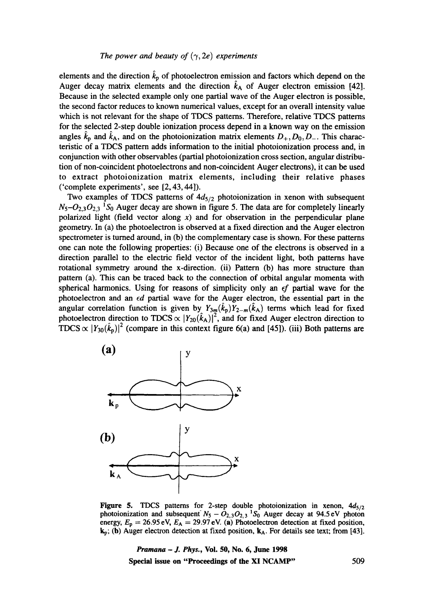elements and the direction  $\hat{k}_p$  of photoelectron emission and factors which depend on the Auger decay matrix elements and the direction  $\hat{k}_A$  of Auger electron emission [42]. Because in the selected example only one partial wave of the Auger electron is possible, the second factor reduces to known numerical values, except for an overall intensity value which is not relevant for the shape of TDCS patterns. Therefore, relative TDCS patterns for the selected 2-step double ionization process depend in a known way on the emission angles  $\hat{k}_p$  and  $\hat{k}_A$ , and on the photoionization matrix elements  $D_+, D_0, D_-$ . This characteristic of a TDCS pattern adds information to the initial photoionization process and, in conjunction with other observables (partial photoionization cross section, angular distribution of non-coincident photoelectrons and non-coincident Auger electrons), it can be used to extract photoionization matrix elements, including their relative phases ('complete experiments', see [2, 43, 44]).

Two examples of TDCS patterns of  $4d_{5/2}$  photoionization in xenon with subsequent  $N_5 - O_{2,3} O_{2,3}$  <sup>1</sup>S<sub>0</sub> Auger decay are shown in figure 5. The data are for completely linearly polarized light (field vector along  $x$ ) and for observation in the perpendicular plane geometry. In (a) the photoelectron is observed at a fixed direction and the Auger electron spectrometer is turned around, in (b) the complementary case is shown. For these patterns one can note the following properties: (i) Because one of the electrons is observed in a direction parallel to the electric field vector of the incident light, both patterns have rotational symmetry around the x-direction. (ii) Pattern (b) has more structure than pattern (a). This can be traced back to the connection of orbital angular momenta with spherical harmonics. Using for reasons of simplicity only an *ef* partial wave for the photoelectron and an *ed* partial wave for the Auger electron, the essential part in the angular correlation function is given by  $Y_{3m}(k_p)Y_{2-m}(k_A)$  terms which lead for fixed photoelectron direction to TDCS  $\propto$   $|Y_{20}(k_A)|^2$ , and for fixed Auger electron direction to TDCS  $\propto$   $|Y_{30}(\hat{k}_p)|^2$  (compare in this context figure 6(a) and [45]). (iii) Both patterns are



Figure 5. TDCS patterns for 2-step double photoionization in xenon,  $4d_{5/2}$ photoionization and subsequent  $N_5 - O_{2,3}O_{2,3}$  <sup>1</sup>S<sub>0</sub> Auger decay at 94.5 eV photon energy,  $E_p = 26.95 \text{ eV}$ ,  $E_A = 29.97 \text{ eV}$ . (a) Photoelectron detection at fixed position,  $k_p$ ; (b) Auger electron detection at fixed position,  $k_A$ . For details see text; from [43].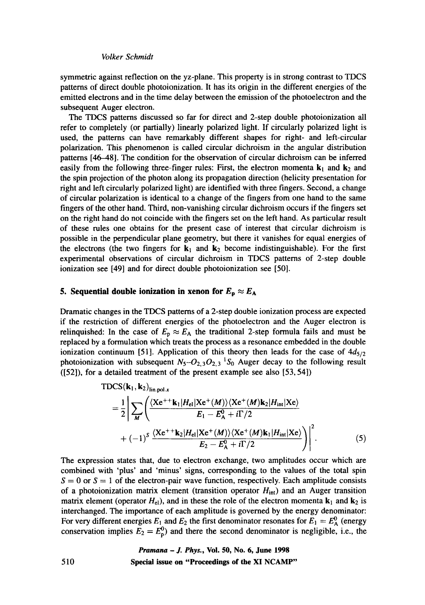symmetric against reflection on the yz-plane. This property is in strong contrast to TDCS patterns of direct double photoionization. It has its origin in the different energies of the emitted electrons and in the time delay between the emission of the photoelectron and the subsequent Auger electron.

The TDCS patterns discussed so far for direct and 2-step double photoionization all refer to completely (or partially) linearly polarized light. If circularly polarized light is used, the patterns can have remarkably different shapes for right- and left-circular polarization. This phenomenon is called circular dichroism in the angular distribution patterns [46--48]. The condition for the observation of circular dichroism can be inferred easily from the following three-finger rules: First, the electron momenta  $k_1$  and  $k_2$  and the spin projection of the photon along its propagation direction (helicity presentation for right and left circularly polarized light) are identified with three fingers. Second, a change of circular polarization is identical to a change of the fingers from one hand to the same fingers of the other hand. Third, non-vanishing circular dichroism occurs if the fingers set on the right hand do not coincide with the fingers set on the left hand. As particular result of these rules one obtains for the present case of interest that circular dichroism is possible in the perpendicular plane geometry, but there it vanishes for equal energies of the electrons (the two fingers for  $k_1$  and  $k_2$  become indistinguishable). For the first experimental observations of circular dichroism in TDCS patterns of 2-step double ionization see [49] and for direct double photoionization see [50].

# **5. Sequential double ionization in xenon for**  $E_p \approx E_A$

Dramatic changes in the TDCS patterns of a 2-step double ionization process are expected if the restriction of different energies of the photoelectron and the Auger electron is relinquished: In the case of  $E_p \approx E_A$  the traditional 2-step formula fails and must be replaced by a formulation which treats the process as a resonance embedded in the double ionization continuum [51]. Application of this theory then leads for the case of  $4d_{5/2}$ photoionization with subsequent  $N_5$ - $O_{2,3}O_{2,3}$ <sup>1</sup>S<sub>0</sub> Auger decay to the following result ([52]), for a detailed treatment of the present example see also [53, 54])

$$
\text{TDCS}(\mathbf{k}_1, \mathbf{k}_2)_{\text{lin}, \text{pol.}x} = \frac{1}{2} \Bigg| \sum_{M} \Bigg( \frac{\langle \text{Xe}^{++}\mathbf{k}_1 | H_{\text{el}} | \text{Xe}^+(\text{M}) \rangle \langle \text{Xe}^+(\text{M}) \mathbf{k}_2 | H_{\text{int}} | \text{Xe} \rangle}{E_1 - E_4^0 + i\Gamma/2} + (-1)^S \frac{\langle \text{Xe}^{++}\mathbf{k}_2 | H_{\text{el}} | \text{Xe}^+(\text{M}) \rangle \langle \text{Xe}^+(\text{M}) \mathbf{k}_1 | H_{\text{int}} | \text{Xe} \rangle}{E_2 - E_4^0 + i\Gamma/2} \Bigg) \Bigg|^2. \tag{5}
$$

The expression states that, due to electron exchange, two amplitudes occur which are combined with 'plus' and 'minus' signs, corresponding to the values of the total spin  $S = 0$  or  $S = 1$  of the electron-pair wave function, respectively. Each amplitude consists of a photoionization matrix element (transition operator  $H_{int}$ ) and an Auger transition matrix element (operator  $H_{el}$ ), and in these the role of the electron momenta  $k_1$  and  $k_2$  is interchanged. The importance of each amplitude is governed by the energy denominator: For very different energies  $E_1$  and  $E_2$  the first denominator resonates for  $E_1 = E^0_A$  (energy conservation implies  $E_2 = E_p^0$  and there the second denominator is negligible, i.e., the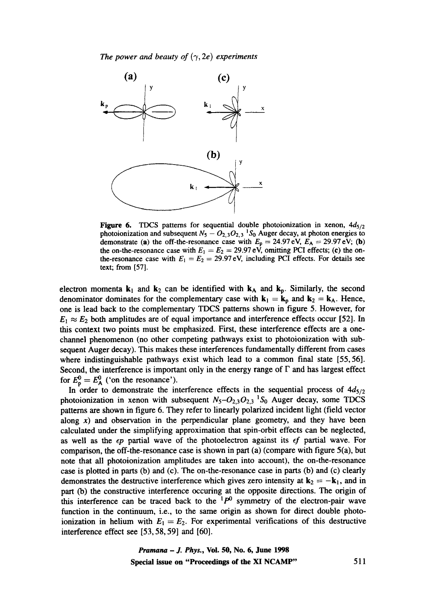

Figure 6. TDCS patterns for sequential double photoionization in xenon,  $4d_{5/2}$ photoionization and subsequent  $N_5 - O_{2,3}O_{2,3}$  'S<sub>0</sub> Auger decay, at photon energies to demonstrate (a) the off-the-resonance case with  $E_p = 24.97 \text{ eV}, E_A = 29.97 \text{ eV};$  (b) the on-the-resonance case with  $E_1 = E_2 = 29.97$  eV, omitting PCI effects; (c) the onthe-resonance case with  $E_1 = E_2 = 29.97$  eV, including PCI effects. For details see text; from [57].

electron momenta  $k_1$  and  $k_2$  can be identified with  $k_A$  and  $k_p$ . Similarly, the second denominator dominates for the complementary case with  $k_1 = k_p$  and  $k_2 = k_A$ . Hence, one is lead back to the complementary TDCS patterns shown in figure 5. However, for  $E_1 \approx E_2$  both amplitudes are of equal importance and interference effects occur [52]. In this context two points must be emphasized. First, these interference effects are a onechannel phenomenon (no other competing pathways exist to photoionization with subsequent Auger decay). This makes these interferences fundamentally different from cases where indistinguishable pathways exist which lead to a common final state [55,56]. Second, the interference is important only in the energy range of  $\Gamma$  and has largest effect for  $E_p^0 = E_A^0$  ('on the resonance').

In order to demonstrate the interference effects in the sequential process of  $4d_{5/2}$ photoionization in xenon with subsequent  $N_5 - O_{2,3}O_{2,3}$  <sup>1</sup>S<sub>0</sub> Auger decay, some TDCS patterns are shown in figure 6. They refer to linearly polarized incident light (field vector along  $x$ ) and observation in the perpendicular plane geometry, and they have been calculated under the simplifying approximation that spin-orbit effects can be neglected, as well as the  $\epsilon p$  partial wave of the photoelectron against its  $\epsilon f$  partial wave. For comparison, the off-the-resonance case is shown in part (a) (compare with figure 5(a), but note that all photoionization amplitudes are taken into account), the on-the-resonance case is plotted in parts (b) and (c). The on-the-resonance case in parts (b) and (c) clearly demonstrates the destructive interference which gives zero intensity at  $k_2 = -k_1$ , and in part (b) the constructive interference occuring at the opposite directions. The origin of this interference can be traced back to the  ${}^{1}P^{0}$  symmetry of the electron-pair wave function in the continuum, i.e., to the same origin as shown for direct double photoionization in helium with  $E_1 = E_2$ . For experimental verifications of this destructive interference effect see [53, 58, 59] and [60].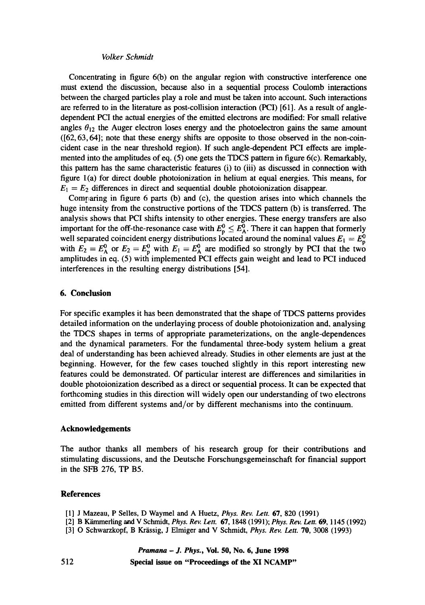Concentrating in figure  $6(b)$  on the angular region with constructive interference one must extend the discussion, because also in a sequential process Coulomb interactions between the charged particles play a role and must be taken into account. Such interactions are referred to in the literature as post-collision interaction (PCI) [61]. As a result of angledependent PCI the actual energies of the emitted electrons are modified: For small relative angles  $\theta_{12}$  the Auger electron loses energy and the photoelectron gains the same amount ([62,63,64]; note that these energy shifts are opposite to those observed in the non-coincident case in the near threshold region). If such angle-dependent PCI effects are implemented into the amplitudes of eq. (5) one gets the TDCS pattern in figure 6(c). Remarkably, this pattern has the same characteristic features (i) to (iii) as discussed in connection with figure l(a) for direct double photoionization in helium at equal energies. This means, for  $E_1 = E_2$  differences in direct and sequential double photoionization disappear.

Comr:aring in figure 6 parts (b) and (c), the question arises into which channels the huge intensity from the constructive portions of the TDCS pattern (b) is transferred. The analysis shows that PCI shifts intensity to other energies. These energy transfers are also important for the off-the-resonance case with  $E_p^0 \n\t\le E_p^0$ . There it can happen that formerly well separated coincident energy distributions located around the nominal values  $E_1 = E_p^0$ with  $E_2 = E_2^V$  or  $E_2 = E_p^V$  with  $E_1 = E_p^V$  are modified so strongly by PCI that the two amplitudes in eq. (5) with implemented PCI effects gain weight and lead to PCI induced interferences in the resulting energy distributions [54].

### **6. Conclusion**

For specific examples it has been demonstrated that the shape of TDCS patterns provides detailed information on the underlaying process of double photoionization and, analysing the TDCS shapes in terms of appropriate parameterizations, on the angle-dependences and the dynamical parameters. For the fundamental three-body system helium a great deal of understanding has been achieved already. Studies in other elements are just at the beginning. However, for the few cases touched slightly in this report interesting new features could be demonstrated. Of particular interest are differences and similarities in double photoionization described as a direct or sequential process. It can be expected that forthcoming studies in this direction will widely open our understanding of two electrons emitted from different systems and/or by different mechanisms into the continuum.

### **Acknowledgements**

The author thanks all members of his research group for their contributions and stimulating discussions, and the Deutsche Forschungsgemeinschaft for financial support in the SFB 276, TP B5.

### **References**

- [1] J Mazeau, P Selles, D Waymel and A Huetz, *Phys. Rev. Lett.* 67, 820 (1991)
- [2] B K~'nmerling ~nd V Schmidt, *Phys. Rev. Lett.* 67, 1848 (1991); *Phys. Rev. Lett.* 69, 1145 (1992)
- [3] O Schwarzkopf, B Krässig, J Elmiger and V Schmidt, *Phys. Rev. Lett.* **70**, 3008 (1993)

*Pramana - J. Phys.,* **Vol. 50, No. 6, June 1998** 

**Special issue on "Proceedings of the XI NCAMP"**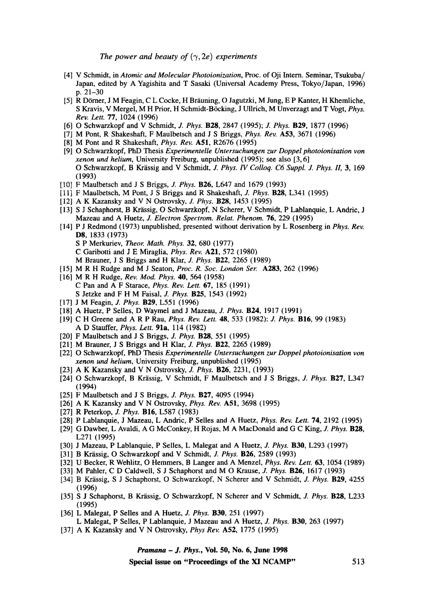- [4] V Schmidt, in *Atomic and Molecular Photoionization, Proc.* of Oji Intern. Seminar, Tsukuba/ Japan, edited by A Yagishita and T Sasaki (Universal Academy Press, Tokyo/Japan, 1996) p. 21-30
- [5] R Dörner, J M Feagin, C L Cocke, H Bräuning, O Jagutzki, M Jung, E P Kanter, H Khemliche, S Kravis, V Mergel, M H Prior, H Schmidt-B6cking, J Ullrich, M Unverzagt and T Vogt, *Phys. Rev. Lett.* 77, 1024 (1996)
- [6] O Schwarzkopf and V Schmidt, J. *Phys.* B28, 2847 (1995); J. *Phys.* B29, 1877 (1996)
- [7] M Pont, R Shakeshaft, F Maulbetsch and J S Briggs, *Phys. Rev.* A53, 3671 (1996)
- [8] M Pont and R Shakeshaft, *Phys. Rev.* A51, R2676 (1995)
- [9] O Schwarzkopf, PhD Thesis *Experimentelle Untersuchungen zur Doppel photoionisation von xenon und helium,* University Freiburg, unpublished (1995); see also [3, 6] O Schwarzkopf, B Krässig and V Schmidt, *J. Phys. IV Colloq. C6 Suppl. J. Phys. II*, 3, 169 (1993)
- [10] F Maulbetsch and J S Briggs, J. *Phys.* B26, L647 and 1679 (1993)
- [11] F Maulbetsch, M Pont, J S Briggs and R Shakeshaft, J. *Phys.* B28, L341 (1995)
- [12] A K Kazansky and V N Ostrovsky, *J. Phys.* B28, 1453 (1995)
- [13] S J Schaphorst, B Krässig, O Schwarzkopf, N Scherer, V Schmidt, P Lablanquie, L Andric, J Mazeau and A Huetz, *J. Electron Spectrom. Relat. Phenom.* 76, 229 (1995)
- [ 14] P J Redmond (1973) unpublished, presented without derivation by L Rosenberg in *Phys. Rev.*  **D8,** 1833 (1973) S P Merkuriev, *Theor. Math. Phys.* 32, 680 (1977) C Garibotti and J E Miraglia, *Phys. Rev.* A21, 572 (1980) M Brauner, J S Briggs and *H Klar, J. Phys.* B22, 2265 (1989)
- [15] M R H Rudge and M J Seaton, *Proc. R. Soc. London Ser.* A283, 262 (1996)
- [16] M R H Rudge, *Rev. Mod. Phys.* 40, 564 (1958) C Pan and A F Starace, *Phys. Rev. Lett.* 67, 185 (1991) S Jetzke and F H M Faisal, *J. Phys.* B25, 1543 (1992)
- [17] J M Feagin, *J. Phys.* B29, L551 (1996)
- [18] A Huetz, P Selles, D Waymel and J Mazeau, J. *Phys.* B24, 1917 (1991)
- [19] C H Greene and A R P Ran, *Phys. Rev. Lett.* 48, 533 (1982): J. *Phys.* B16, 99 (1983) A D Stauffer, *Phys. Lett.* 91a, 114 (1982)
- [20] F Maulbetsch and J S Briggs, J. *Phys.* B28, 551 (1995)
- [21] M Brauner, J S Briggs and H Klar, *J. Phys.* B22, 2265 (1989)
- [22] O Schwarzkopf, PhD Thesis *Experimentelle Untersuchungen zur Doppel photoionisation von xenon und helium,* University Freiburg, unpublished (1995)
- [23] A K Kazansky and V N Ostrovsky, *J. Phys.* B26, 2231, (1993)
- [24] O Schwarzkopf, B Kfiissig, V Schmidt, F Maulbetsch and J S Briggs, J. *Phys.* B27, L347 (1994)
- [25] F Maulbetsch and J S Briggs, J. *Phys.* B27, 4095 (1994)
- [26] A K Kazansky and V N Ostrovsky, *Phys. Rev.* A51, 3698 (1995)
- [27] R Peterkop, *J. Phys.* B16, L587 (1983)
- [28] P Lablanquie, J Mazeau, L Andric, P Selles and A Huetz, *Phys. Rev. Lett.* 74, 2192 (1995)
- [29] G Dawber, L Avaldi, A G McConkey, H Rojas, M A MacDonald and G C King, J. *Phys.* B28, L271 (1995)
- [30] J Mazeau, P Lablanquie, P Selles, L Malegat and A Huetz, J. *Phys.* B30, L293 (1997)
- [31] B Krässig, O Schwarzkopf and V Schmidt, *J. Phys.* **B26**, 2589 (1993)
- [32] U Becker, R Wehlitz, O Hemmers, B Langer and A Menzel, *Phys. Rev. Lett.* 63, 1054 (1989)
- [33] M Pahler, C D Caldwell, S J Schaphorst and M O Krause, J. *Phys.* B26, 1617 (1993)
- [34] B Krässig, S J Schaphorst, O Schwarzkopf, N Scherer and V Schmidt, *J. Phys.* **B29**, 4255 (1996)
- [35] S J Schaphorst, B Krässig, O Schwarzkopf, N Scherer and V Schmidt, *J. Phys.* **B28**, L233 (1995)
- [36] L Malegat, P Selles and A Huetz, J. *Phys.* B30, 251 (1997)
- L Malegat, P Selles, P Lablanquie, J Mazeau and A Huetz, *J. Phys.* B30, 263 (1997)
- [37] A K Kazansky and V N Ostrovsky, *Phys Rev.* A52, 1775 (1995)

*Pramana - J. Phys.,* **Vol. 50, No. 6, June 1998** 

**Special issue on "Proceedings of the XI NCAMP"** 513